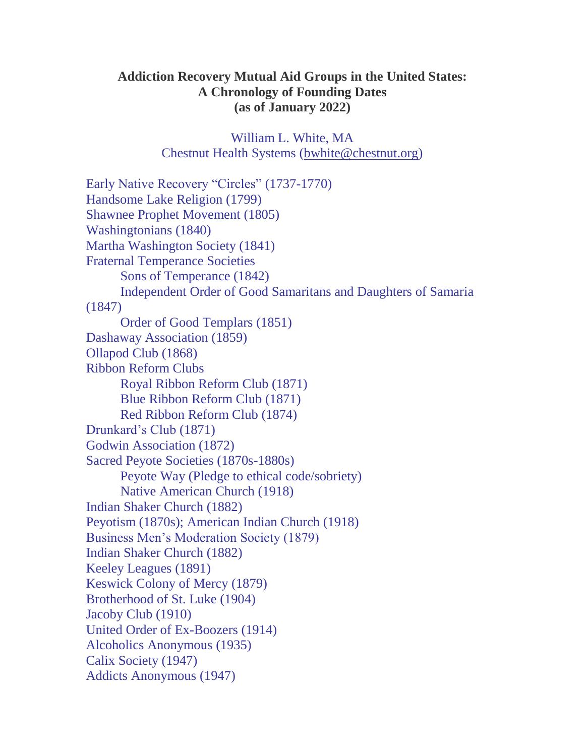## **Addiction Recovery Mutual Aid Groups in the United States: A Chronology of Founding Dates (as of January 2022)**

William L. White, MA Chestnut Health Systems [\(bwhite@chestnut.org\)](mailto:bwhite@chestnut.org)

Early Native Recovery "Circles" (1737-1770) Handsome Lake Religion (1799) Shawnee Prophet Movement (1805) Washingtonians (1840) Martha Washington Society (1841) Fraternal Temperance Societies Sons of Temperance (1842) Independent Order of Good Samaritans and Daughters of Samaria (1847) Order of Good Templars (1851) Dashaway Association (1859) Ollapod Club (1868) Ribbon Reform Clubs Royal Ribbon Reform Club (1871) Blue Ribbon Reform Club (1871) Red Ribbon Reform Club (1874) Drunkard's Club (1871) Godwin Association (1872) Sacred Peyote Societies (1870s-1880s) Peyote Way (Pledge to ethical code/sobriety) Native American Church (1918) Indian Shaker Church (1882) Peyotism (1870s); American Indian Church (1918) Business Men's Moderation Society (1879) Indian Shaker Church (1882) Keeley Leagues (1891) Keswick Colony of Mercy (1879) Brotherhood of St. Luke (1904) Jacoby Club (1910) United Order of Ex-Boozers (1914) Alcoholics Anonymous (1935) Calix Society (1947) Addicts Anonymous (1947)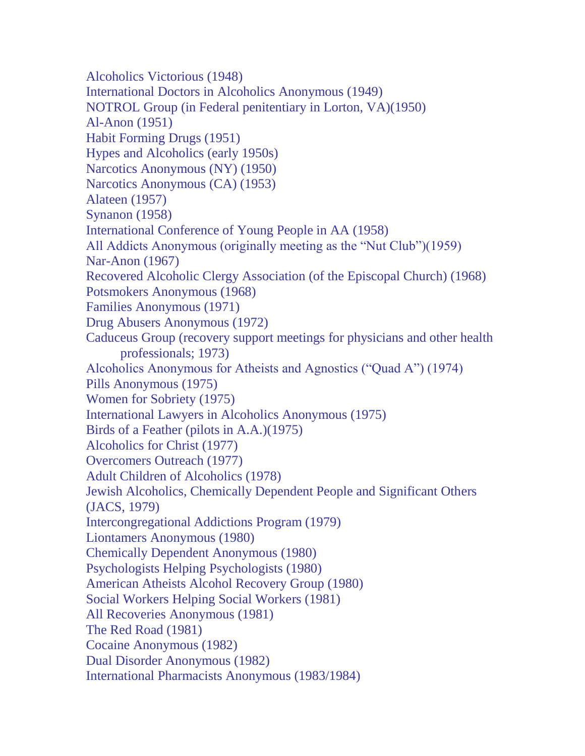Alcoholics Victorious (1948) International Doctors in Alcoholics Anonymous (1949) NOTROL Group (in Federal penitentiary in Lorton, VA)(1950) Al-Anon (1951) Habit Forming Drugs (1951) Hypes and Alcoholics (early 1950s) Narcotics Anonymous (NY) (1950) Narcotics Anonymous (CA) (1953) Alateen (1957) Synanon (1958) International Conference of Young People in AA (1958) All Addicts Anonymous (originally meeting as the "Nut Club")(1959) Nar-Anon (1967) Recovered Alcoholic Clergy Association (of the Episcopal Church) (1968) Potsmokers Anonymous (1968) Families Anonymous (1971) Drug Abusers Anonymous (1972) Caduceus Group (recovery support meetings for physicians and other health professionals; 1973) Alcoholics Anonymous for Atheists and Agnostics ("Quad A") (1974) Pills Anonymous (1975) Women for Sobriety (1975) International Lawyers in Alcoholics Anonymous (1975) Birds of a Feather (pilots in A.A.)(1975) Alcoholics for Christ (1977) Overcomers Outreach (1977) Adult Children of Alcoholics (1978) Jewish Alcoholics, Chemically Dependent People and Significant Others (JACS, 1979) Intercongregational Addictions Program (1979) Liontamers Anonymous (1980) Chemically Dependent Anonymous (1980) Psychologists Helping Psychologists (1980) American Atheists Alcohol Recovery Group (1980) Social Workers Helping Social Workers (1981) All Recoveries Anonymous (1981) The Red Road (1981) Cocaine Anonymous (1982) Dual Disorder Anonymous (1982) International Pharmacists Anonymous (1983/1984)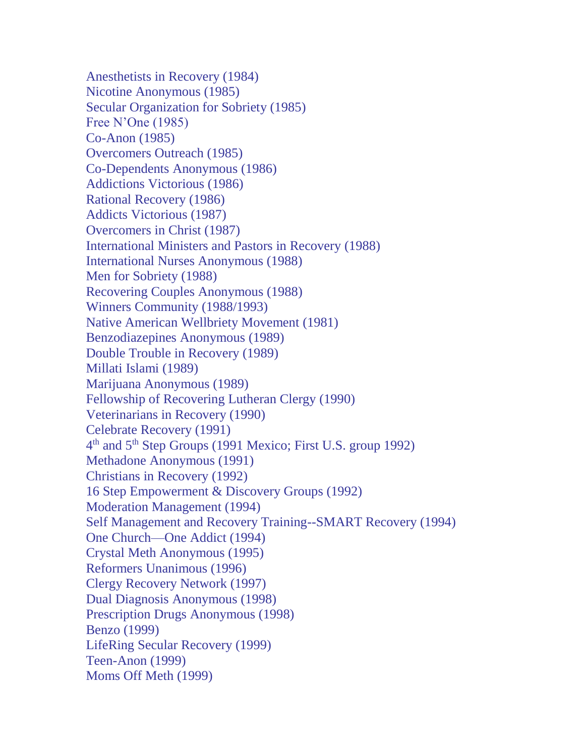Anesthetists in Recovery (1984) Nicotine Anonymous (1985) Secular Organization for Sobriety (1985) Free N'One (1985) Co-Anon (1985) Overcomers Outreach (1985) Co-Dependents Anonymous (1986) Addictions Victorious (1986) Rational Recovery (1986) Addicts Victorious (1987) Overcomers in Christ (1987) International Ministers and Pastors in Recovery (1988) International Nurses Anonymous (1988) Men for Sobriety (1988) Recovering Couples Anonymous (1988) Winners Community (1988/1993) Native American Wellbriety Movement (1981) Benzodiazepines Anonymous (1989) Double Trouble in Recovery (1989) Millati Islami (1989) Marijuana Anonymous (1989) Fellowship of Recovering Lutheran Clergy (1990) Veterinarians in Recovery (1990) Celebrate Recovery (1991) 4<sup>th</sup> and 5<sup>th</sup> Step Groups (1991 Mexico; First U.S. group 1992) Methadone Anonymous (1991) Christians in Recovery (1992) 16 Step Empowerment & Discovery Groups (1992) Moderation Management (1994) Self Management and Recovery Training--SMART Recovery (1994) One Church—One Addict (1994) Crystal Meth Anonymous (1995) Reformers Unanimous (1996) Clergy Recovery Network (1997) Dual Diagnosis Anonymous (1998) Prescription Drugs Anonymous (1998) Benzo (1999) LifeRing Secular Recovery (1999) Teen-Anon (1999) Moms Off Meth (1999)